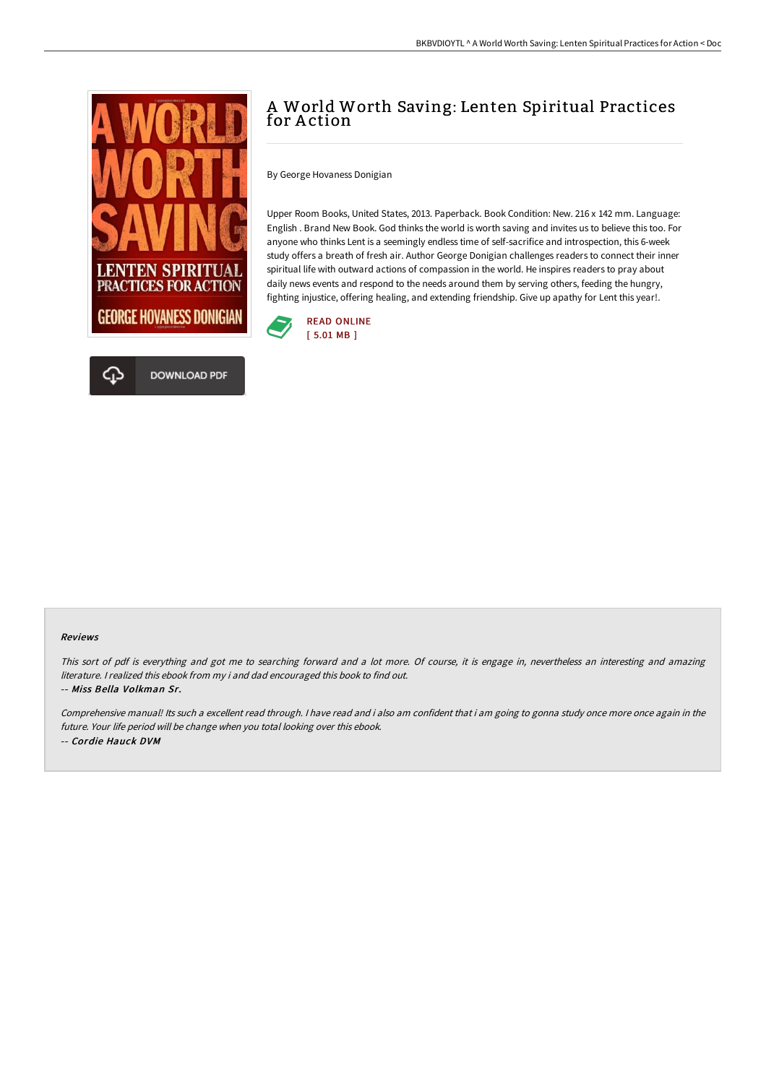

## A World Worth Saving: Lenten Spiritual Practices for Action

By George Hovaness Donigian

Upper Room Books, United States, 2013. Paperback. Book Condition: New. 216 x 142 mm. Language: English . Brand New Book. God thinks the world is worth saving and invites us to believe this too. For anyone who thinks Lent is a seemingly endless time of self-sacrifice and introspection, this 6-week study offers a breath of fresh air. Author George Donigian challenges readers to connect their inner spiritual life with outward actions of compassion in the world. He inspires readers to pray about daily news events and respond to the needs around them by serving others, feeding the hungry, fighting injustice, offering healing, and extending friendship. Give up apathy for Lent this year!.



## Reviews

This sort of pdf is everything and got me to searching forward and a lot more. Of course, it is engage in, nevertheless an interesting and amazing literature. <sup>I</sup> realized this ebook from my i and dad encouraged this book to find out. -- Miss Bella Volkman Sr.

Comprehensive manual! Its such <sup>a</sup> excellent read through. <sup>I</sup> have read and i also am confident that i am going to gonna study once more once again in the future. Your life period will be change when you total looking over this ebook. -- Cordie Hauck DVM